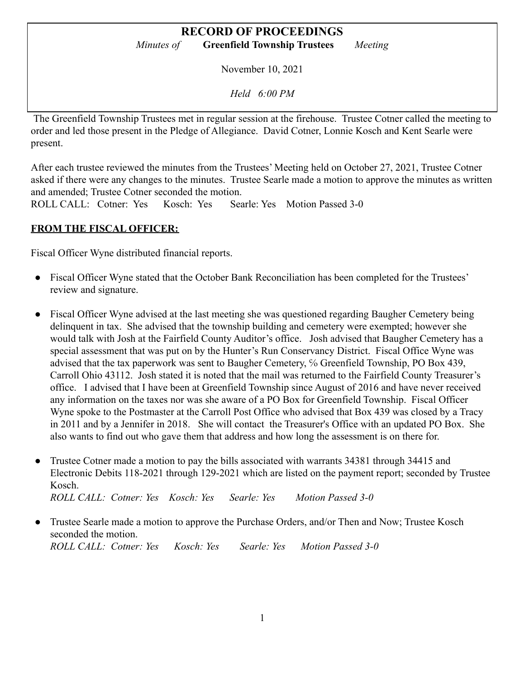# **RECORD OF PROCEEDINGS**

*Minutes of* **Greenfield Township Trustees** *Meeting*

November 10, 2021

*Held 6:00 PM*

The Greenfield Township Trustees met in regular session at the firehouse. Trustee Cotner called the meeting to order and led those present in the Pledge of Allegiance. David Cotner, Lonnie Kosch and Kent Searle were present.

After each trustee reviewed the minutes from the Trustees' Meeting held on October 27, 2021, Trustee Cotner asked if there were any changes to the minutes. Trustee Searle made a motion to approve the minutes as written and amended; Trustee Cotner seconded the motion.

ROLL CALL: Cotner: Yes Kosch: Yes Searle: Yes Motion Passed 3-0

#### **FROM THE FISCAL OFFICER:**

Fiscal Officer Wyne distributed financial reports.

- Fiscal Officer Wyne stated that the October Bank Reconciliation has been completed for the Trustees' review and signature.
- Fiscal Officer Wyne advised at the last meeting she was questioned regarding Baugher Cemetery being delinquent in tax. She advised that the township building and cemetery were exempted; however she would talk with Josh at the Fairfield County Auditor's office. Josh advised that Baugher Cemetery has a special assessment that was put on by the Hunter's Run Conservancy District. Fiscal Office Wyne was advised that the tax paperwork was sent to Baugher Cemetery, % Greenfield Township, PO Box 439, Carroll Ohio 43112. Josh stated it is noted that the mail was returned to the Fairfield County Treasurer's office. I advised that I have been at Greenfield Township since August of 2016 and have never received any information on the taxes nor was she aware of a PO Box for Greenfield Township. Fiscal Officer Wyne spoke to the Postmaster at the Carroll Post Office who advised that Box 439 was closed by a Tracy in 2011 and by a Jennifer in 2018. She will contact the Treasurer's Office with an updated PO Box. She also wants to find out who gave them that address and how long the assessment is on there for.
- Trustee Cotner made a motion to pay the bills associated with warrants 34381 through 34415 and Electronic Debits 118-2021 through 129-2021 which are listed on the payment report; seconded by Trustee Kosch. *ROLL CALL: Cotner: Yes Kosch: Yes Searle: Yes Motion Passed 3-0*
- Trustee Searle made a motion to approve the Purchase Orders, and/or Then and Now; Trustee Kosch seconded the motion. *ROLL CALL: Cotner: Yes Kosch: Yes Searle: Yes Motion Passed 3-0*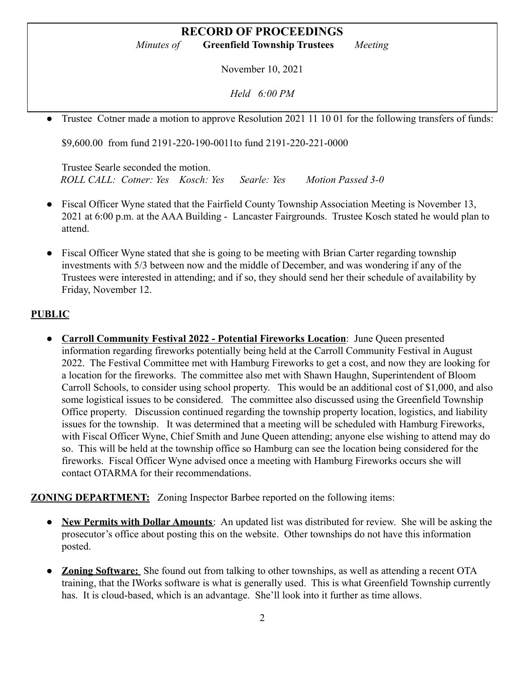# **RECORD OF PROCEEDINGS**

*Minutes of* **Greenfield Township Trustees** *Meeting*

November 10, 2021

*Held 6:00 PM*

Trustee Cotner made a motion to approve Resolution 2021 11 10 01 for the following transfers of funds:

\$9,600.00 from fund 2191-220-190-0011to fund 2191-220-221-0000

Trustee Searle seconded the motion. *ROLL CALL: Cotner: Yes Kosch: Yes Searle: Yes Motion Passed 3-0*

- Fiscal Officer Wyne stated that the Fairfield County Township Association Meeting is November 13, 2021 at 6:00 p.m. at the AAA Building - Lancaster Fairgrounds. Trustee Kosch stated he would plan to attend.
- Fiscal Officer Wyne stated that she is going to be meeting with Brian Carter regarding township investments with 5/3 between now and the middle of December, and was wondering if any of the Trustees were interested in attending; and if so, they should send her their schedule of availability by Friday, November 12.

#### **PUBLIC**

● **Carroll Community Festival 2022 - Potential Fireworks Location**: June Queen presented information regarding fireworks potentially being held at the Carroll Community Festival in August 2022. The Festival Committee met with Hamburg Fireworks to get a cost, and now they are looking for a location for the fireworks. The committee also met with Shawn Haughn, Superintendent of Bloom Carroll Schools, to consider using school property. This would be an additional cost of \$1,000, and also some logistical issues to be considered. The committee also discussed using the Greenfield Township Office property. Discussion continued regarding the township property location, logistics, and liability issues for the township. It was determined that a meeting will be scheduled with Hamburg Fireworks, with Fiscal Officer Wyne, Chief Smith and June Queen attending; anyone else wishing to attend may do so. This will be held at the township office so Hamburg can see the location being considered for the fireworks. Fiscal Officer Wyne advised once a meeting with Hamburg Fireworks occurs she will contact OTARMA for their recommendations.

**ZONING DEPARTMENT:** Zoning Inspector Barbee reported on the following items:

- **New Permits with Dollar Amounts**: An updated list was distributed for review. She will be asking the prosecutor's office about posting this on the website. Other townships do not have this information posted.
- **● Zoning Software:** She found out from talking to other townships, as well as attending a recent OTA training, that the IWorks software is what is generally used. This is what Greenfield Township currently has. It is cloud-based, which is an advantage. She'll look into it further as time allows.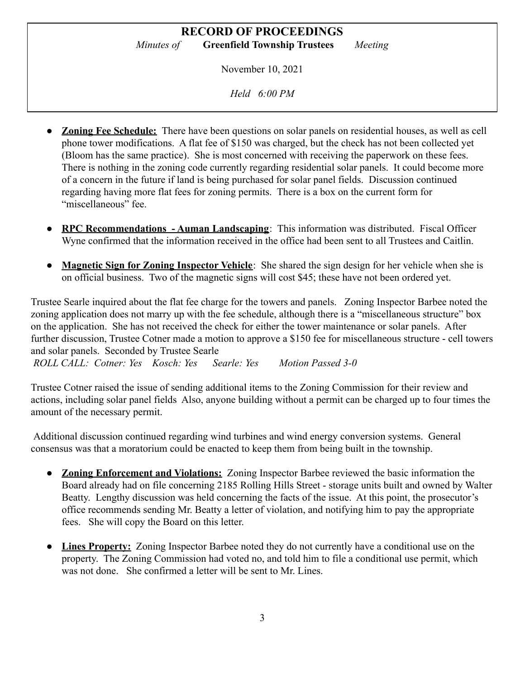November 10, 2021

*Held 6:00 PM*

- **Zoning Fee Schedule:** There have been questions on solar panels on residential houses, as well as cell phone tower modifications. A flat fee of \$150 was charged, but the check has not been collected yet (Bloom has the same practice). She is most concerned with receiving the paperwork on these fees. There is nothing in the zoning code currently regarding residential solar panels. It could become more of a concern in the future if land is being purchased for solar panel fields. Discussion continued regarding having more flat fees for zoning permits. There is a box on the current form for "miscellaneous" fee
- **RPC Recommendations Auman Landscaping**: This information was distributed. Fiscal Officer Wyne confirmed that the information received in the office had been sent to all Trustees and Caitlin.
- **Magnetic Sign for Zoning Inspector Vehicle**: She shared the sign design for her vehicle when she is on official business. Two of the magnetic signs will cost \$45; these have not been ordered yet.

Trustee Searle inquired about the flat fee charge for the towers and panels. Zoning Inspector Barbee noted the zoning application does not marry up with the fee schedule, although there is a "miscellaneous structure" box on the application. She has not received the check for either the tower maintenance or solar panels. After further discussion, Trustee Cotner made a motion to approve a \$150 fee for miscellaneous structure - cell towers and solar panels. Seconded by Trustee Searle

*ROLL CALL: Cotner: Yes Kosch: Yes Searle: Yes Motion Passed 3-0*

Trustee Cotner raised the issue of sending additional items to the Zoning Commission for their review and actions, including solar panel fields Also, anyone building without a permit can be charged up to four times the amount of the necessary permit.

Additional discussion continued regarding wind turbines and wind energy conversion systems. General consensus was that a moratorium could be enacted to keep them from being built in the township.

- **● Zoning Enforcement and Violations:** Zoning Inspector Barbee reviewed the basic information the Board already had on file concerning 2185 Rolling Hills Street - storage units built and owned by Walter Beatty. Lengthy discussion was held concerning the facts of the issue. At this point, the prosecutor's office recommends sending Mr. Beatty a letter of violation, and notifying him to pay the appropriate fees. She will copy the Board on this letter.
- **Lines Property:** Zoning Inspector Barbee noted they do not currently have a conditional use on the property. The Zoning Commission had voted no, and told him to file a conditional use permit, which was not done. She confirmed a letter will be sent to Mr. Lines.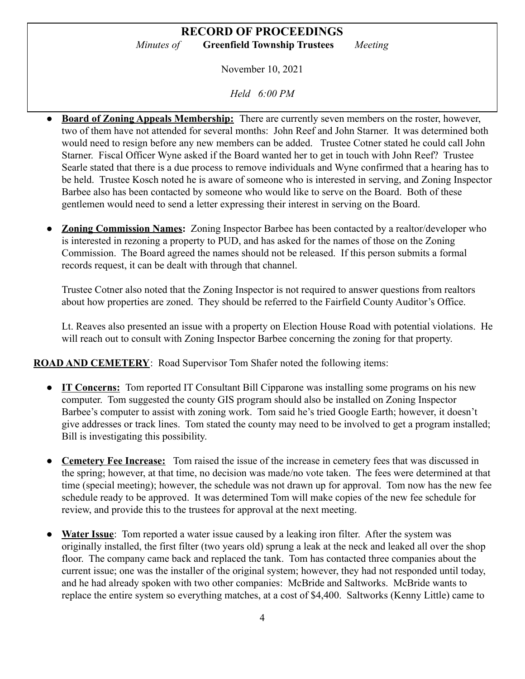November 10, 2021

*Held 6:00 PM*

- **Board of Zoning Appeals Membership:** There are currently seven members on the roster, however, two of them have not attended for several months: John Reef and John Starner. It was determined both would need to resign before any new members can be added. Trustee Cotner stated he could call John Starner. Fiscal Officer Wyne asked if the Board wanted her to get in touch with John Reef? Trustee Searle stated that there is a due process to remove individuals and Wyne confirmed that a hearing has to be held. Trustee Kosch noted he is aware of someone who is interested in serving, and Zoning Inspector Barbee also has been contacted by someone who would like to serve on the Board. Both of these gentlemen would need to send a letter expressing their interest in serving on the Board.
- **<u>Zoning Commission Names:</u>** Zoning Inspector Barbee has been contacted by a realtor/developer who is interested in rezoning a property to PUD, and has asked for the names of those on the Zoning Commission. The Board agreed the names should not be released. If this person submits a formal records request, it can be dealt with through that channel.

Trustee Cotner also noted that the Zoning Inspector is not required to answer questions from realtors about how properties are zoned. They should be referred to the Fairfield County Auditor's Office.

Lt. Reaves also presented an issue with a property on Election House Road with potential violations. He will reach out to consult with Zoning Inspector Barbee concerning the zoning for that property.

**ROAD AND CEMETERY**: Road Supervisor Tom Shafer noted the following items:

- **IT Concerns:** Tom reported IT Consultant Bill Cipparone was installing some programs on his new computer. Tom suggested the county GIS program should also be installed on Zoning Inspector Barbee's computer to assist with zoning work. Tom said he's tried Google Earth; however, it doesn't give addresses or track lines. Tom stated the county may need to be involved to get a program installed; Bill is investigating this possibility.
- **● Cemetery Fee Increase:** Tom raised the issue of the increase in cemetery fees that was discussed in the spring; however, at that time, no decision was made/no vote taken. The fees were determined at that time (special meeting); however, the schedule was not drawn up for approval. Tom now has the new fee schedule ready to be approved. It was determined Tom will make copies of the new fee schedule for review, and provide this to the trustees for approval at the next meeting.
- **Water Issue**: Tom reported a water issue caused by a leaking iron filter. After the system was originally installed, the first filter (two years old) sprung a leak at the neck and leaked all over the shop floor. The company came back and replaced the tank. Tom has contacted three companies about the current issue; one was the installer of the original system; however, they had not responded until today, and he had already spoken with two other companies: McBride and Saltworks. McBride wants to replace the entire system so everything matches, at a cost of \$4,400. Saltworks (Kenny Little) came to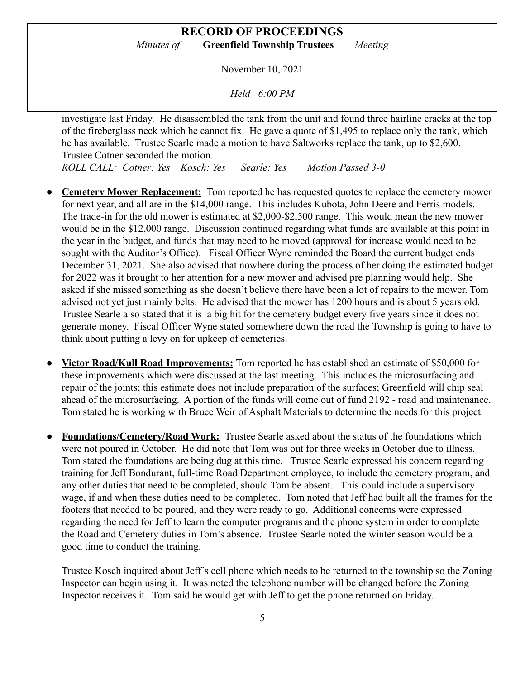November 10, 2021

*Held 6:00 PM*

investigate last Friday. He disassembled the tank from the unit and found three hairline cracks at the top of the fireberglass neck which he cannot fix. He gave a quote of \$1,495 to replace only the tank, which he has available. Trustee Searle made a motion to have Saltworks replace the tank, up to \$2,600. Trustee Cotner seconded the motion.

*ROLL CALL: Cotner: Yes Kosch: Yes Searle: Yes Motion Passed 3-0*

- **Cemetery Mower Replacement:** Tom reported he has requested quotes to replace the cemetery mower for next year, and all are in the \$14,000 range. This includes Kubota, John Deere and Ferris models. The trade-in for the old mower is estimated at \$2,000-\$2,500 range. This would mean the new mower would be in the \$12,000 range. Discussion continued regarding what funds are available at this point in the year in the budget, and funds that may need to be moved (approval for increase would need to be sought with the Auditor's Office). Fiscal Officer Wyne reminded the Board the current budget ends December 31, 2021. She also advised that nowhere during the process of her doing the estimated budget for 2022 was it brought to her attention for a new mower and advised pre planning would help. She asked if she missed something as she doesn't believe there have been a lot of repairs to the mower. Tom advised not yet just mainly belts. He advised that the mower has 1200 hours and is about 5 years old. Trustee Searle also stated that it is a big hit for the cemetery budget every five years since it does not generate money. Fiscal Officer Wyne stated somewhere down the road the Township is going to have to think about putting a levy on for upkeep of cemeteries.
- **Victor Road/Kull Road Improvements:** Tom reported he has established an estimate of \$50,000 for these improvements which were discussed at the last meeting. This includes the microsurfacing and repair of the joints; this estimate does not include preparation of the surfaces; Greenfield will chip seal ahead of the microsurfacing. A portion of the funds will come out of fund 2192 - road and maintenance. Tom stated he is working with Bruce Weir of Asphalt Materials to determine the needs for this project.
- **● Foundations/Cemetery/Road Work:** Trustee Searle asked about the status of the foundations which were not poured in October. He did note that Tom was out for three weeks in October due to illness. Tom stated the foundations are being dug at this time. Trustee Searle expressed his concern regarding training for Jeff Bondurant, full-time Road Department employee, to include the cemetery program, and any other duties that need to be completed, should Tom be absent. This could include a supervisory wage, if and when these duties need to be completed. Tom noted that Jeff had built all the frames for the footers that needed to be poured, and they were ready to go. Additional concerns were expressed regarding the need for Jeff to learn the computer programs and the phone system in order to complete the Road and Cemetery duties in Tom's absence. Trustee Searle noted the winter season would be a good time to conduct the training.

Trustee Kosch inquired about Jeff's cell phone which needs to be returned to the township so the Zoning Inspector can begin using it. It was noted the telephone number will be changed before the Zoning Inspector receives it. Tom said he would get with Jeff to get the phone returned on Friday.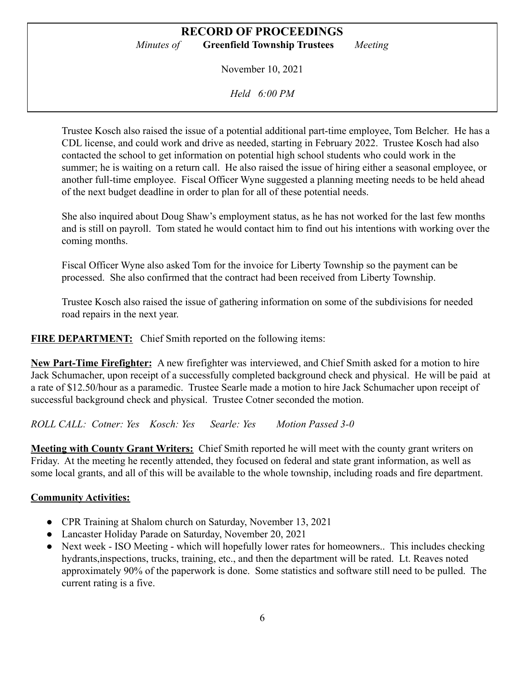November 10, 2021

*Held 6:00 PM*

Trustee Kosch also raised the issue of a potential additional part-time employee, Tom Belcher. He has a CDL license, and could work and drive as needed, starting in February 2022. Trustee Kosch had also contacted the school to get information on potential high school students who could work in the summer; he is waiting on a return call. He also raised the issue of hiring either a seasonal employee, or another full-time employee. Fiscal Officer Wyne suggested a planning meeting needs to be held ahead of the next budget deadline in order to plan for all of these potential needs.

She also inquired about Doug Shaw's employment status, as he has not worked for the last few months and is still on payroll. Tom stated he would contact him to find out his intentions with working over the coming months.

Fiscal Officer Wyne also asked Tom for the invoice for Liberty Township so the payment can be processed. She also confirmed that the contract had been received from Liberty Township.

Trustee Kosch also raised the issue of gathering information on some of the subdivisions for needed road repairs in the next year.

**FIRE DEPARTMENT:** Chief Smith reported on the following items:

**New Part-Time Firefighter:** A new firefighter was interviewed, and Chief Smith asked for a motion to hire Jack Schumacher, upon receipt of a successfully completed background check and physical. He will be paid at a rate of \$12.50/hour as a paramedic. Trustee Searle made a motion to hire Jack Schumacher upon receipt of successful background check and physical. Trustee Cotner seconded the motion.

*ROLL CALL: Cotner: Yes Kosch: Yes Searle: Yes Motion Passed 3-0*

**Meeting with County Grant Writers:** Chief Smith reported he will meet with the county grant writers on Friday. At the meeting he recently attended, they focused on federal and state grant information, as well as some local grants, and all of this will be available to the whole township, including roads and fire department.

#### **Community Activities:**

- CPR Training at Shalom church on Saturday, November 13, 2021
- Lancaster Holiday Parade on Saturday, November 20, 2021
- Next week ISO Meeting which will hopefully lower rates for homeowners.. This includes checking hydrants,inspections, trucks, training, etc., and then the department will be rated. Lt. Reaves noted approximately 90% of the paperwork is done. Some statistics and software still need to be pulled. The current rating is a five.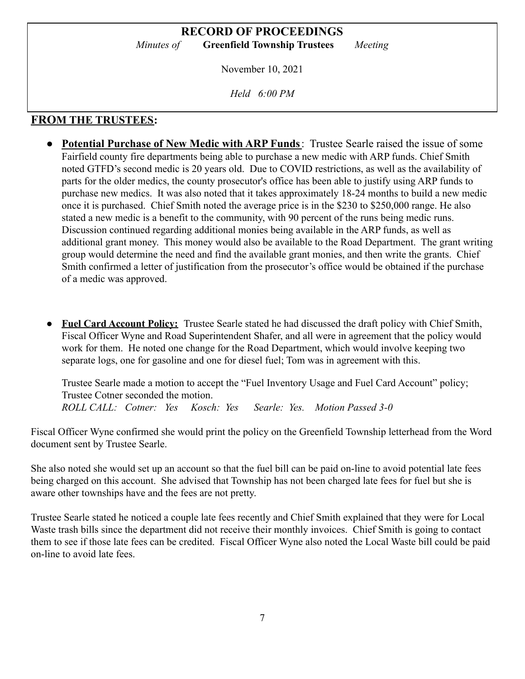November 10, 2021

*Held 6:00 PM*

## **FROM THE TRUSTEES:**

- **Potential Purchase of New Medic with ARP Funds**: Trustee Searle raised the issue of some Fairfield county fire departments being able to purchase a new medic with ARP funds. Chief Smith noted GTFD's second medic is 20 years old. Due to COVID restrictions, as well as the availability of parts for the older medics, the county prosecutor's office has been able to justify using ARP funds to purchase new medics. It was also noted that it takes approximately 18-24 months to build a new medic once it is purchased. Chief Smith noted the average price is in the \$230 to \$250,000 range. He also stated a new medic is a benefit to the community, with 90 percent of the runs being medic runs. Discussion continued regarding additional monies being available in the ARP funds, as well as additional grant money. This money would also be available to the Road Department. The grant writing group would determine the need and find the available grant monies, and then write the grants. Chief Smith confirmed a letter of justification from the prosecutor's office would be obtained if the purchase of a medic was approved.
- **Fuel Card Account Policy:** Trustee Searle stated he had discussed the draft policy with Chief Smith, Fiscal Officer Wyne and Road Superintendent Shafer, and all were in agreement that the policy would work for them. He noted one change for the Road Department, which would involve keeping two separate logs, one for gasoline and one for diesel fuel; Tom was in agreement with this.

Trustee Searle made a motion to accept the "Fuel Inventory Usage and Fuel Card Account" policy; Trustee Cotner seconded the motion. *ROLL CALL: Cotner: Yes Kosch: Yes Searle: Yes. Motion Passed 3-0*

Fiscal Officer Wyne confirmed she would print the policy on the Greenfield Township letterhead from the Word document sent by Trustee Searle.

She also noted she would set up an account so that the fuel bill can be paid on-line to avoid potential late fees being charged on this account. She advised that Township has not been charged late fees for fuel but she is aware other townships have and the fees are not pretty.

Trustee Searle stated he noticed a couple late fees recently and Chief Smith explained that they were for Local Waste trash bills since the department did not receive their monthly invoices. Chief Smith is going to contact them to see if those late fees can be credited. Fiscal Officer Wyne also noted the Local Waste bill could be paid on-line to avoid late fees.